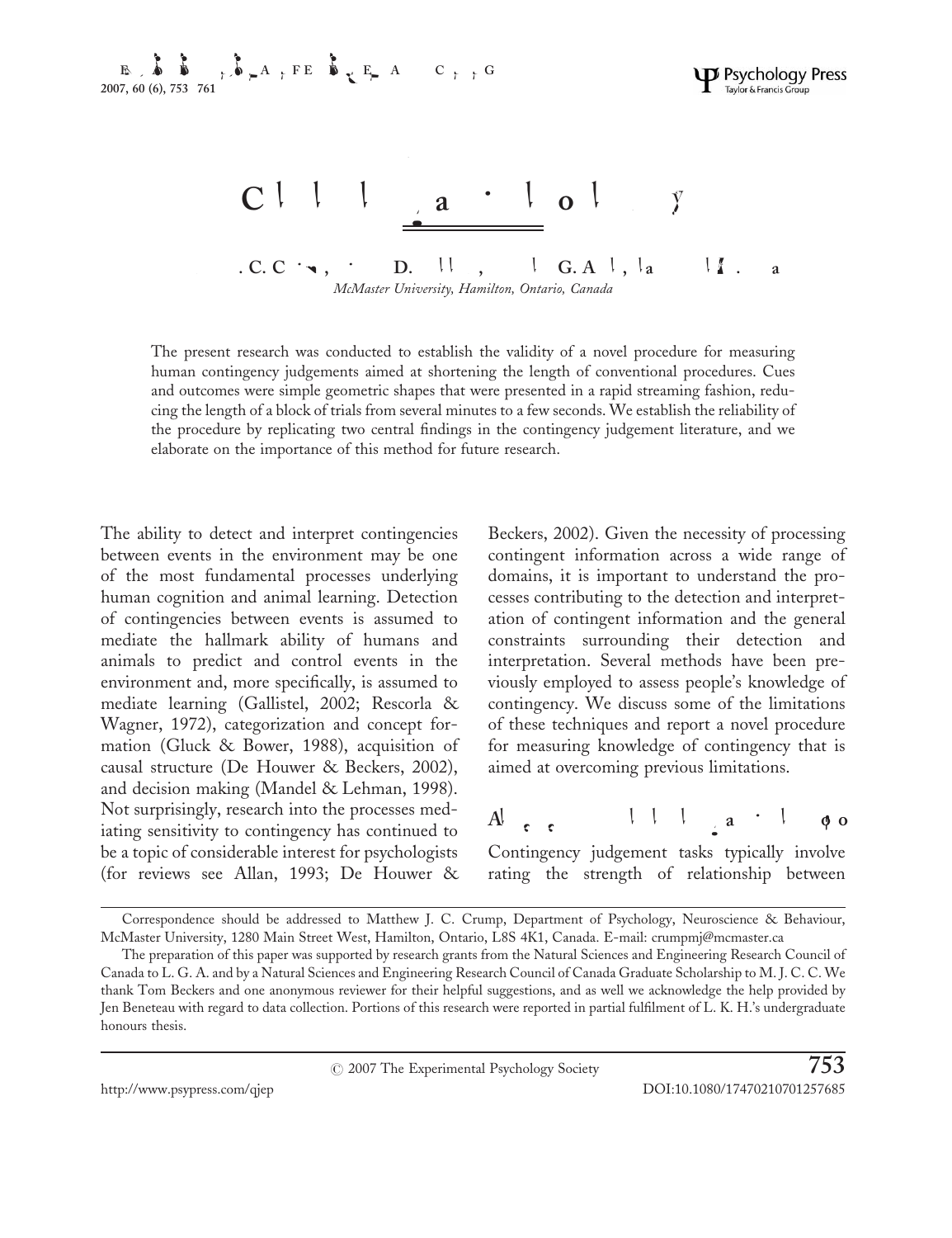

The present research was conducted to establish the validity of a novel procedure for measuring human contingency judgements aimed at shortening the length of conventional procedures. Cues and outcomes were simple geometric shapes that were presented in a rapid streaming fashion, reducing the length of a block of trials from several minutes to a few seconds. We establish the reliability of the procedure by replicating two central findings in the contingency judgement literature, and we elaborate on the importance of this method for future research.

The ability to detect and interpret contingencies between events in the environment may be one of the most fundamental processes underlying human cognition and animal learning. Detection of contingencies between events is assumed to mediate the hallmark ability of humans and animals to predict and control events in the environment and, more specifically, is assumed to mediate learning (Gallistel, 2002; Rescorla & Wagner, 1972), categorization and concept formation (Gluck & Bower, 1988), acquisition of causal structure (De Houwer & Beckers, 2002), and decision making (Mandel & Lehman, 1998). Not surprisingly, research into the processes mediating sensitivity to contingency has continued to be a topic of considerable interest for psychologists (for reviews see Allan, 1993; De Houwer &

Beckers, 2002). Given the necessity of processing contingent information across a wide range of domains, it is important to understand the processes contributing to the detection and interpretation of contingent information and the general constraints surrounding their detection and interpretation. Several methods have been previously employed to assess people's knowledge of contingency. We discuss some of the limitations of these techniques and report a novel procedure for measuring knowledge of contingency that is aimed at overcoming previous limitations.

$$
A^j \quad \bullet \quad \bullet \quad \bullet \quad \bullet \quad \bullet \quad \bullet
$$

Contingency judgement tasks typically involve rating the strength of relationship between

Correspondence should be addressed to Matthew J. C. Crump, Department of Psychology, Neuroscience & Behaviour, McMaster University, 1280 Main Street West, Hamilton, Ontario, L8S 4K1, Canada. E-mail: crumpmj@mcmaster.ca

The preparation of this paper was supported by research grants from the Natural Sciences and Engineering Research Council of Canada to L. G. A. and by a Natural Sciences and Engineering Research Council of Canada Graduate Scholarship to M. J. C. C. We thank Tom Beckers and one anonymous reviewer for their helpful suggestions, and as well we acknowledge the help provided by Jen Beneteau with regard to data collection. Portions of this research were reported in partial fulfilment of L. K. H.'s undergraduate honours thesis.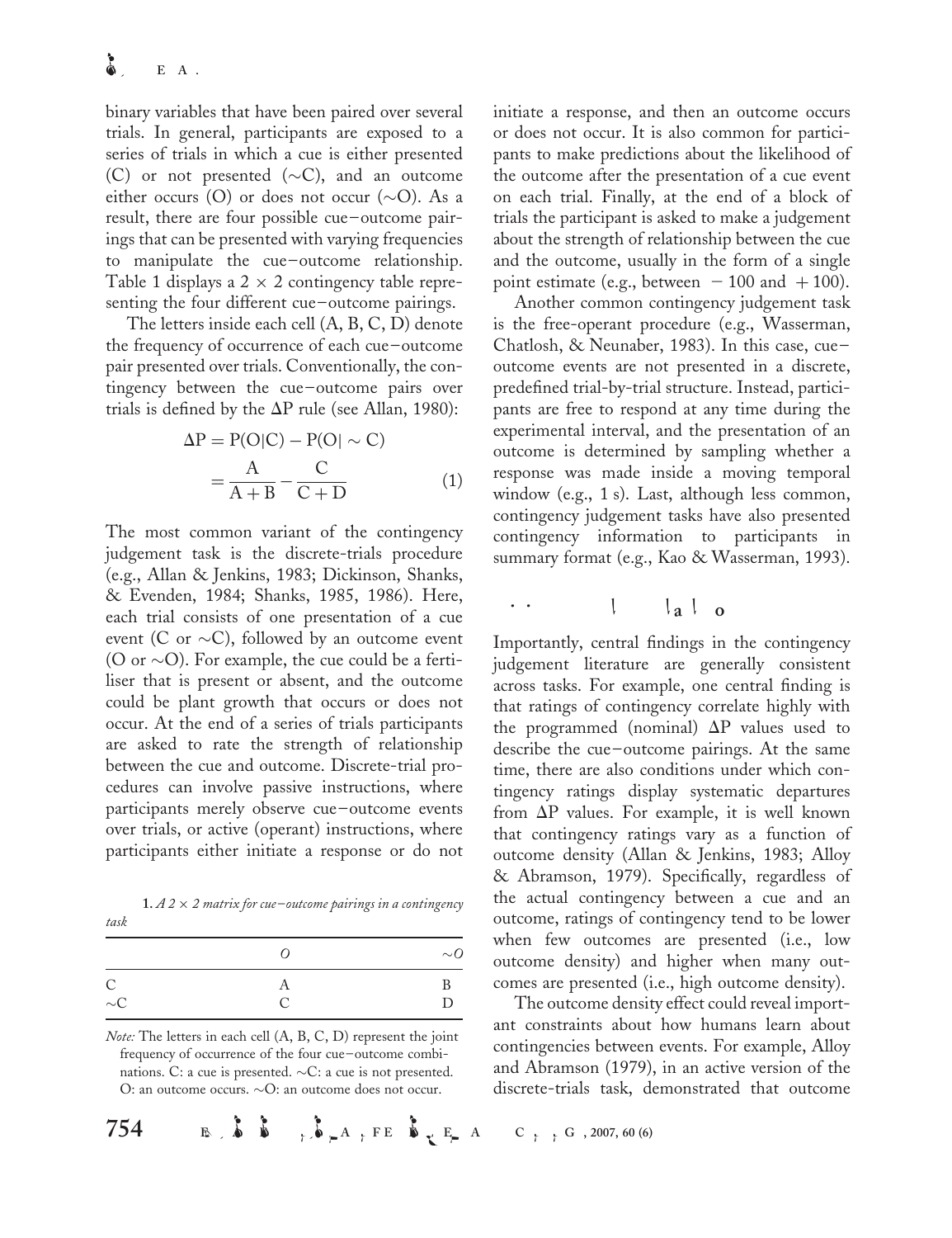binary variables that have been paired over several trials. In general, participants are exposed to a series of trials in which a cue is either presented (C) or not presented  $(\sim C)$ , and an outcome either occurs (O) or does not occur  $(\sim$ O). As a result, there are four possible cue – outcome pairings that can be presented with varying frequencies to manipulate the cue-outcome relationship. Table 1 displays a  $2 \times 2$  contingency table representing the four different cue-outcome pairings.

The letters inside each cell (A, B, C, D) denote the frequency of occurrence of each cue –outcome pair presented over trials. Conventionally, the contingency between the cue-outcome pairs over trials is defined by the  $\Delta P$  rule (see Allan, 1980):

$$
\Delta P = P(O|C) - P(O| \sim C)
$$

$$
= \frac{A}{A+B} - \frac{C}{C+D}
$$
(1)

The most common variant of the contingency judgement task is the discrete-trials procedure (e.g., Allan & Jenkins, 1983; Dickinson, Shanks, & Evenden, 1984; Shanks, 1985, 1986). Here, each trial consists of one presentation of a cue event (C or  $\sim$ C), followed by an outcome event (O or  $\sim$ O). For example, the cue could be a fertiliser that is present or absent, and the outcome could be plant growth that occurs or does not occur. At the end of a series of trials participants are asked to rate the strength of relationship between the cue and outcome. Discrete-trial procedures can involve passive instructions, where participants merely observe cue-outcome events over trials, or active (operant) instructions, where participants either initiate a response or do not

1.  $A$  2  $\times$  2 matrix for cue–outcome pairings in a contingency task

|                  | $\left( \right)$ | $\sim$ O |
|------------------|------------------|----------|
| C<br>$\sim \! C$ | А<br>€.          | $\Box$   |

*Note:* The letters in each cell  $(A, B, C, D)$  represent the joint frequency of occurrence of the four cue–outcome combinations. C: a cue is presented.  $\sim C$ : a cue is not presented. O: an outcome occurs.  $\sim$ O: an outcome does not occur.

 $\overline{\phantom{a}}$ 

initiate a response, and then an outcome occurs or does not occur. It is also common for participants to make predictions about the likelihood of the outcome after the presentation of a cue event on each trial. Finally, at the end of a block of trials the participant is asked to make a judgement about the strength of relationship between the cue and the outcome, usually in the form of a single point estimate (e.g., between  $-100$  and  $+100$ ).

Another common contingency judgement task is the free-operant procedure (e.g., Wasserman, Chatlosh, & Neunaber, 1983). In this case, cue – outcome events are not presented in a discrete, predefined trial-by-trial structure. Instead, participants are free to respond at any time during the experimental interval, and the presentation of an outcome is determined by sampling whether a response was made inside a moving temporal window (e.g., 1 s). Last, although less common, contingency judgement tasks have also presented contingency information to participants in summary format (e.g., Kao & Wasserman, 1993).

$$
\cdot \cdot \qquad \qquad \vert \qquad \vert_a \vert \quad _o
$$

Importantly, central findings in the contingency judgement literature are generally consistent across tasks. For example, one central finding is that ratings of contingency correlate highly with the programmed (nominal)  $\Delta P$  values used to describe the cue –outcome pairings. At the same time, there are also conditions under which contingency ratings display systematic departures from  $\Delta P$  values. For example, it is well known that contingency ratings vary as a function of outcome density (Allan & Jenkins, 1983; Alloy & Abramson, 1979). Specifically, regardless of the actual contingency between a cue and an outcome, ratings of contingency tend to be lower when few outcomes are presented (i.e., low outcome density) and higher when many outcomes are presented (i.e., high outcome density).

The outcome density effect could reveal important constraints about how humans learn about contingencies between events. For example, Alloy and Abramson (1979), in an active version of the discrete-trials task, demonstrated that outcome

754 
$$
\mathbb{R}
$$
  $\mathbb{R}$   $\mathbb{R}$   $\mathbb{R}$   $\mathbb{R}$   $\mathbb{R}$   $\mathbb{R}$   $\mathbb{R}$   $\mathbb{R}$   $\mathbb{R}$   $\mathbb{R}$   $\mathbb{R}$   $\mathbb{R}$   $\mathbb{R}$   $\mathbb{R}$   $\mathbb{R}$   $\mathbb{R}$   $\mathbb{R}$   $\mathbb{R}$   $\mathbb{R}$   $\mathbb{R}$   $\mathbb{R}$   $\mathbb{R}$   $\mathbb{R}$   $\mathbb{R}$   $\mathbb{R}$   $\mathbb{R}$   $\mathbb{R}$   $\mathbb{R}$   $\mathbb{R}$   $\mathbb{R}$   $\mathbb{R}$   $\mathbb{R}$   $\mathbb{R}$   $\mathbb{R}$   $\mathbb{R}$   $\mathbb{R}$   $\mathbb{R}$   $\mathbb{R}$   $\mathbb{R}$   $\mathbb{R}$   $\mathbb{R}$   $\mathbb{R}$   $\mathbb{R}$   $\mathbb{R}$   $\mathbb{R}$   $\mathbb{R}$   $\mathbb{R}$   $\mathbb{R}$   $\mathbb{R}$   $\mathbb{R}$   $\mathbb{R}$   $\mathbb{R}$   $\mathbb{R}$   $\mathbb{R}$   $\mathbb{R}$   $\mathbb{R}$   $\mathbb{R}$   $\mathbb$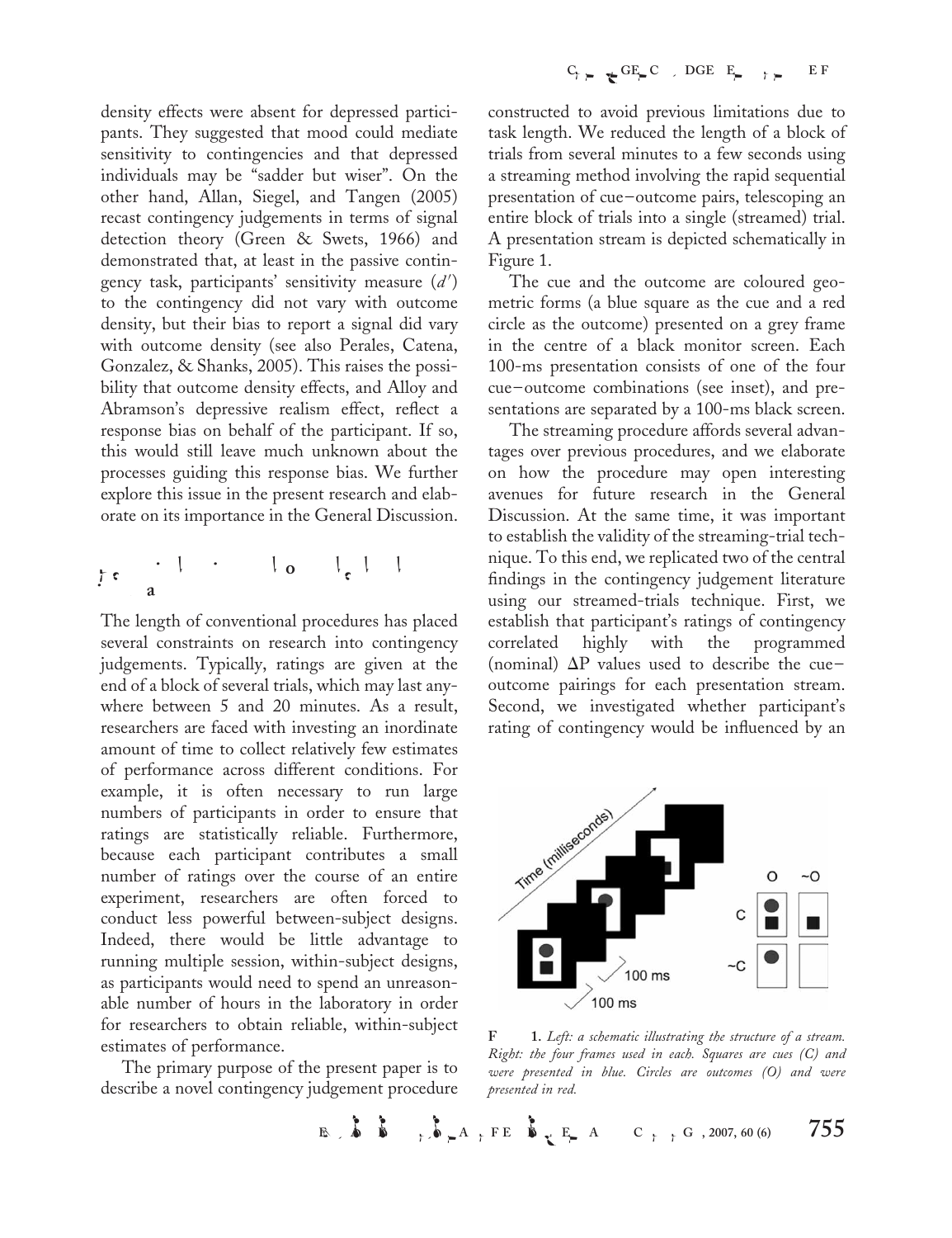density effects were absent for depressed participants. They suggested that mood could mediate sensitivity to contingencies and that depressed individuals may be "sadder but wiser". On the other hand, Allan, Siegel, and Tangen (2005) recast contingency judgements in terms of signal detection theory (Green & Swets, 1966) and demonstrated that, at least in the passive contingency task, participants' sensitivity measure (d') to the contingency did not vary with outcome density, but their bias to report a signal did vary with outcome density (see also Perales, Catena, Gonzalez, & Shanks, 2005). This raises the possibility that outcome density effects, and Alloy and Abramson's depressive realism effect, reflect a response bias on behalf of the participant. If so, this would still leave much unknown about the processes guiding this response bias. We further explore this issue in the present research and elaborate on its importance in the General Discussion.

Overcoming limitations of conventional methodology

The length of conventional procedures has placed several constraints on research into contingency judgements. Typically, ratings are given at the end of a block of several trials, which may last anywhere between 5 and 20 minutes. As a result, researchers are faced with investing an inordinate amount of time to collect relatively few estimates of performance across different conditions. For example, it is often necessary to run large numbers of participants in order to ensure that ratings are statistically reliable. Furthermore, because each participant contributes a small number of ratings over the course of an entire experiment, researchers are often forced to conduct less powerful between-subject designs. Indeed, there would be little advantage to running multiple session, within-subject designs, as participants would need to spend an unreasonable number of hours in the laboratory in order for researchers to obtain reliable, within-subject estimates of performance.

The primary purpose of the present paper is to describe a novel contingency judgement procedure constructed to avoid previous limitations due to task length. We reduced the length of a block of trials from several minutes to a few seconds using a streaming method involving the rapid sequential presentation of cue–outcome pairs, telescoping an entire block of trials into a single (streamed) trial. A presentation stream is depicted schematically in Figure 1.

The cue and the outcome are coloured geometric forms (a blue square as the cue and a red circle as the outcome) presented on a grey frame in the centre of a black monitor screen. Each 100-ms presentation consists of one of the four cue – outcome combinations (see inset), and presentations are separated by a 100-ms black screen.

The streaming procedure affords several advantages over previous procedures, and we elaborate on how the procedure may open interesting avenues for future research in the General Discussion. At the same time, it was important to establish the validity of the streaming-trial technique. To this end, we replicated two of the central findings in the contingency judgement literature using our streamed-trials technique. First, we establish that participant's ratings of contingency correlated highly with the programmed (nominal)  $\Delta P$  values used to describe the cueoutcome pairings for each presentation stream. Second, we investigated whether participant's rating of contingency would be influenced by an



F 1. Left: a schematic illustrating the structure of a stream. Right: the four frames used in each. Squares are cues (C) and were presented in blue. Circles are outcomes (O) and were presented in red.

$$
\mathbb{E} \quad \stackrel{\bullet}{\bullet} \quad \stackrel{\bullet}{\bullet} \quad \stackrel{\bullet}{\bullet} \quad \stackrel{\bullet}{\bullet} \quad \stackrel{\bullet}{\bullet} \quad \stackrel{\bullet}{\bullet} \quad \stackrel{\bullet}{\bullet} \quad \stackrel{\bullet}{\bullet} \quad \stackrel{\bullet}{\bullet} \quad \stackrel{\bullet}{\bullet} \quad \stackrel{\bullet}{\bullet} \quad \stackrel{\bullet}{\bullet} \quad \stackrel{\bullet}{\bullet} \quad \stackrel{\bullet}{\bullet} \quad \stackrel{\bullet}{\bullet} \quad \stackrel{\bullet}{\bullet} \quad \stackrel{\bullet}{\bullet} \quad \stackrel{\bullet}{\bullet} \quad \stackrel{\bullet}{\bullet} \quad \stackrel{\bullet}{\bullet} \quad \stackrel{\bullet}{\bullet} \quad \stackrel{\bullet}{\bullet} \quad \stackrel{\bullet}{\bullet} \quad \stackrel{\bullet}{\bullet} \quad \stackrel{\bullet}{\bullet} \quad \stackrel{\bullet}{\bullet} \quad \stackrel{\bullet}{\bullet} \quad \stackrel{\bullet}{\bullet} \quad \stackrel{\bullet}{\bullet} \quad \stackrel{\bullet}{\bullet} \quad \stackrel{\bullet}{\bullet} \quad \stackrel{\bullet}{\bullet} \quad \stackrel{\bullet}{\bullet} \quad \stackrel{\bullet}{\bullet} \quad \stackrel{\bullet}{\bullet} \quad \stackrel{\bullet}{\bullet} \quad \stackrel{\bullet}{\bullet} \quad \stackrel{\bullet}{\bullet} \quad \stackrel{\bullet}{\bullet} \quad \stackrel{\bullet}{\bullet} \quad \stackrel{\bullet}{\bullet} \quad \stackrel{\bullet}{\bullet} \quad \stackrel{\bullet}{\bullet} \quad \stackrel{\bullet}{\bullet} \quad \stackrel{\bullet}{\bullet} \quad \stackrel{\bullet}{\bullet} \quad \stackrel{\bullet}{\bullet} \quad \stackrel{\bullet}{\bullet} \quad \stackrel{\bullet}{\bullet} \quad \stackrel{\bullet}{\bullet} \quad \stackrel{\bullet}{\bullet} \quad \stackrel{\bullet}{\bullet} \quad \stackrel{\bullet}{\bullet} \quad \stackrel{\bullet}{\bullet} \quad \stackrel{\bullet}{\bullet} \quad \stackrel{\bullet}{\bullet} \quad \stackrel{\bullet}{\bullet} \quad \stackrel{\bullet}{\bullet} \quad \stackrel{\bullet}{\bullet} \quad \stackrel{\bullet}{\bullet} \quad \stackrel{\bullet}{\bullet} \quad \stackrel{\bullet}{\bullet} \quad \stackrel{\bullet}{\bullet} \quad \stackrel{\bullet}{\bullet} \quad \stackrel{\bullet}{\bullet} \quad \stackrel{\bullet}{\bullet} \quad \stackrel{\bullet}{\bullet} \quad \stackrel{\bullet}{\bullet} \quad \stackrel{\
$$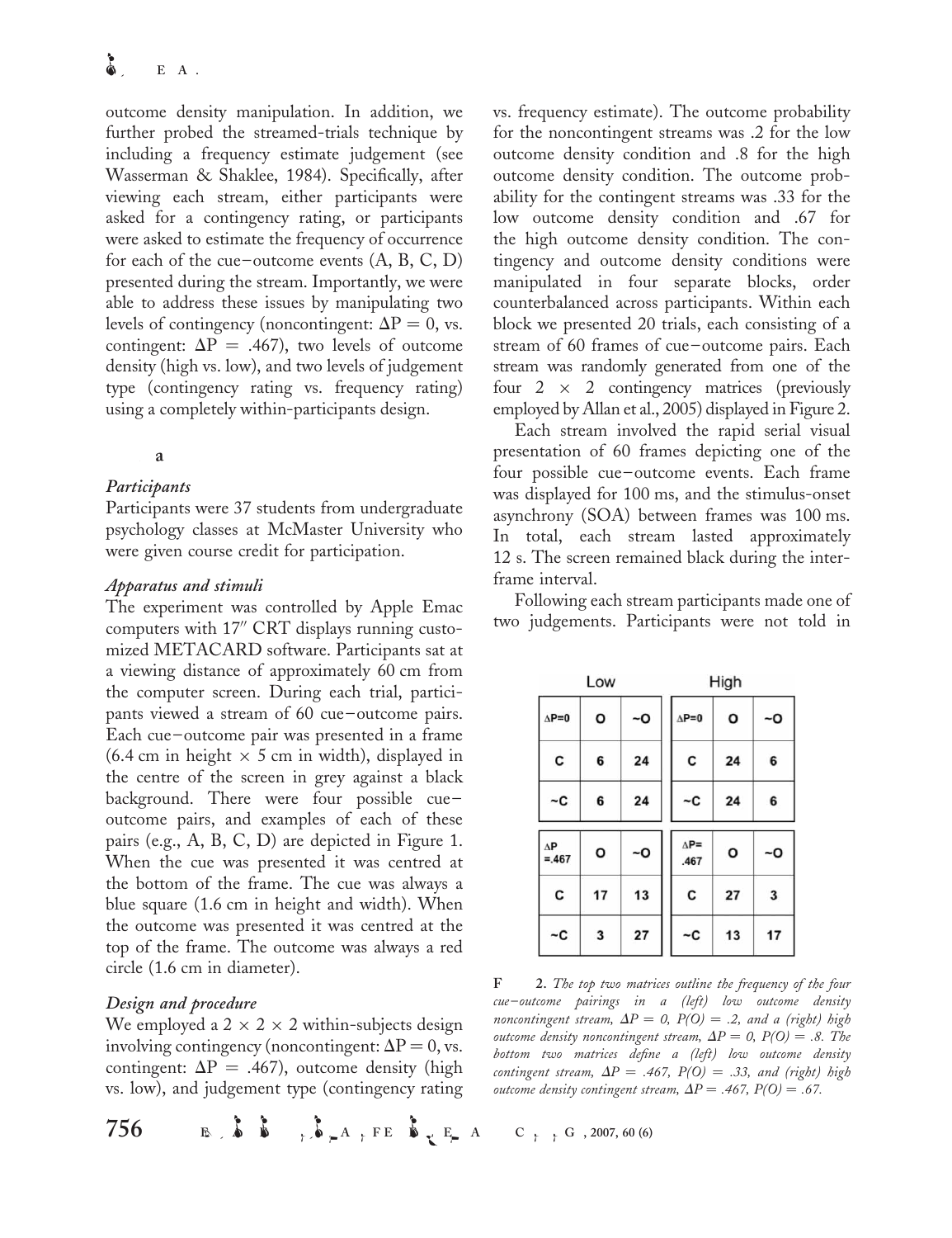outcome density manipulation. In addition, we further probed the streamed-trials technique by including a frequency estimate judgement (see Wasserman & Shaklee, 1984). Specifically, after viewing each stream, either participants were asked for a contingency rating, or participants were asked to estimate the frequency of occurrence for each of the cue–outcome events  $(A, B, C, D)$ presented during the stream. Importantly, we were able to address these issues by manipulating two levels of contingency (noncontingent:  $\Delta P = 0$ , vs. contingent:  $\Delta P = .467$ , two levels of outcome density (high vs. low), and two levels of judgement type (contingency rating vs. frequency rating) using a completely within-participants design.

# Method

## Participants

Participants were 37 students from undergraduate psychology classes at McMaster University who were given course credit for participation.

### Apparatus and stimuli

The experiment was controlled by Apple Emac computers with 17" CRT displays running customized METACARD software. Participants sat at a viewing distance of approximately 60 cm from the computer screen. During each trial, participants viewed a stream of 60 cue – outcome pairs. Each cue-outcome pair was presented in a frame  $(6.4 \text{ cm in height} \times 5 \text{ cm in width})$ , displayed in the centre of the screen in grey against a black background. There were four possible cueoutcome pairs, and examples of each of these pairs (e.g., A, B, C, D) are depicted in Figure 1. When the cue was presented it was centred at the bottom of the frame. The cue was always a blue square (1.6 cm in height and width). When the outcome was presented it was centred at the top of the frame. The outcome was always a red circle (1.6 cm in diameter).

## Design and procedure

We employed a  $2 \times 2 \times 2$  within-subjects design involving contingency (noncontingent:  $\Delta P = 0$ , vs. contingent:  $\Delta P = .467$ ), outcome density (high vs. low), and judgement type (contingency rating

756  $\mathbb{R}$ ,  $\mathbb{R}$   $\mathbb{R}$   $\mathbb{R}$   $\mathbb{R}$   $\mathbb{R}$   $\mathbb{R}$   $\mathbb{R}$   $\mathbb{R}$   $\mathbb{R}$   $\mathbb{R}$   $\mathbb{R}$   $\mathbb{R}$   $\mathbb{R}$   $\mathbb{R}$   $\mathbb{R}$   $\mathbb{R}$   $\mathbb{R}$   $\mathbb{R}$   $\mathbb{R}$   $\mathbb{R}$   $\mathbb{R}$   $\mathbb{R}$   $\mathbb{R}$ 

vs. frequency estimate). The outcome probability for the noncontingent streams was .2 for the low outcome density condition and .8 for the high outcome density condition. The outcome probability for the contingent streams was .33 for the low outcome density condition and .67 for the high outcome density condition. The contingency and outcome density conditions were manipulated in four separate blocks, order counterbalanced across participants. Within each block we presented 20 trials, each consisting of a stream of 60 frames of cue – outcome pairs. Each stream was randomly generated from one of the four  $2 \times 2$  contingency matrices (previously employed by Allan et al., 2005) displayed in Figure 2.

Each stream involved the rapid serial visual presentation of 60 frames depicting one of the four possible cue-outcome events. Each frame was displayed for 100 ms, and the stimulus-onset asynchrony (SOA) between frames was 100 ms. In total, each stream lasted approximately 12 s. The screen remained black during the interframe interval.

Following each stream participants made one of two judgements. Participants were not told in

| Low            |    |          | High                 |         |    |
|----------------|----|----------|----------------------|---------|----|
| $\Delta P = 0$ | O  | $\sim$ O | $\Delta P = 0$       | O       | ~0 |
| С              | 6  | 24       | C                    | 24      | 6  |
| $-c$           | 6  | 24       | ~C                   | 24      | 6  |
| ΔР<br>$=.467$  | O  | $\sim$ O | $\Delta P =$<br>.467 | $\circ$ | ~0 |
| C              | 17 | 13       | C                    | 27      | 3  |
| $-c$           | 3  | 27       | ~C                   | 13      | 17 |

F 2. The top two matrices outline the frequency of the four cue–outcome pairings in a (left) low outcome density noncontingent stream,  $\Delta P = 0$ ,  $P(0) = .2$ , and a (right) high outcome density noncontingent stream,  $\Delta P = 0$ ,  $P(O) = .8$ . The bottom two matrices define a (left) low outcome density contingent stream,  $\Delta P = .467$ ,  $P(O) = .33$ , and (right) high outcome density contingent stream,  $\Delta P = .467$ ,  $P(O) = .67$ .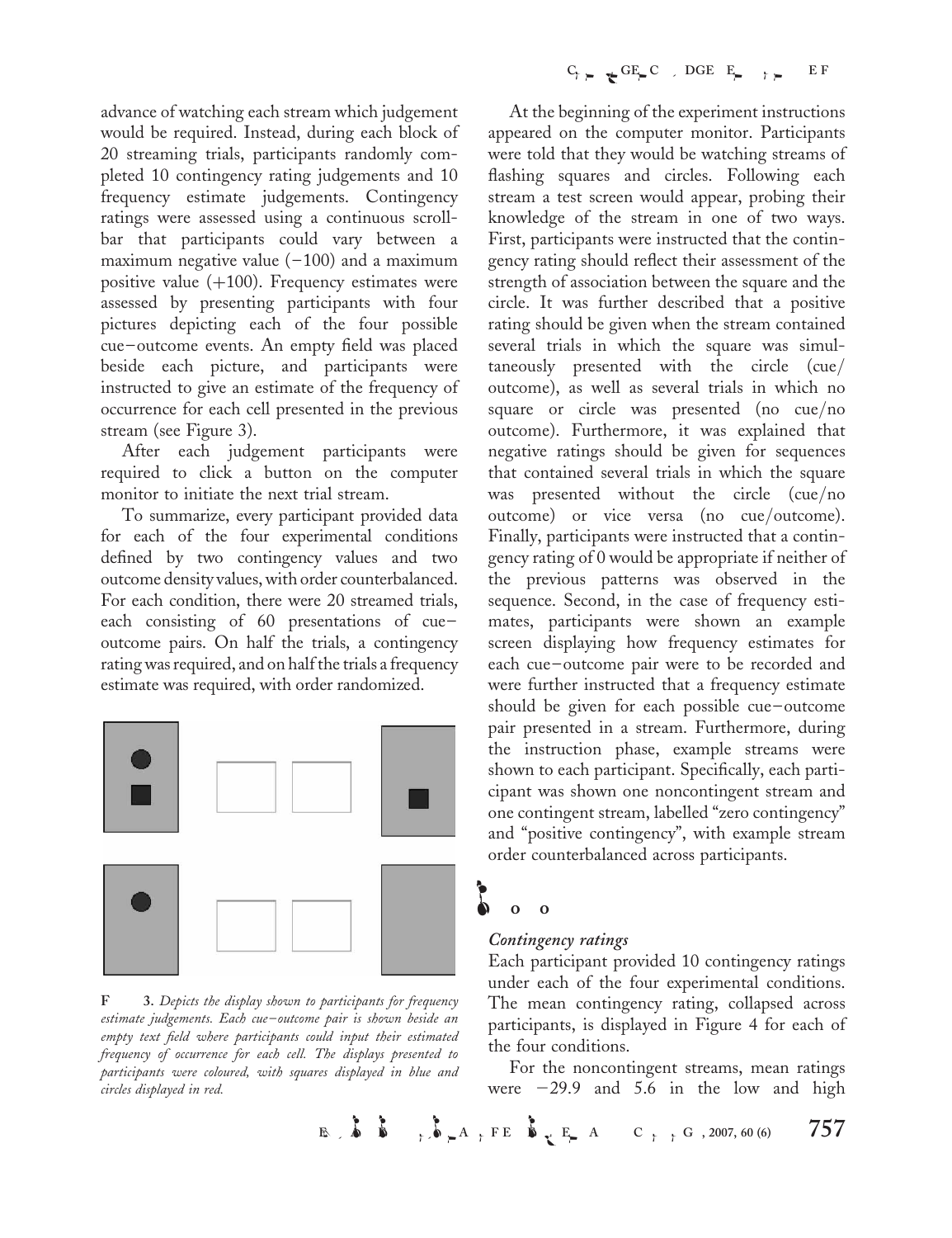advance of watching each stream which judgement would be required. Instead, during each block of 20 streaming trials, participants randomly completed 10 contingency rating judgements and 10 frequency estimate judgements. Contingency ratings were assessed using a continuous scrollbar that participants could vary between a maximum negative value  $(-100)$  and a maximum positive value  $(+100)$ . Frequency estimates were assessed by presenting participants with four pictures depicting each of the four possible cue – outcome events. An empty field was placed beside each picture, and participants were instructed to give an estimate of the frequency of occurrence for each cell presented in the previous stream (see Figure 3).

After each judgement participants were required to click a button on the computer monitor to initiate the next trial stream.

To summarize, every participant provided data for each of the four experimental conditions defined by two contingency values and two outcome density values, with order counterbalanced. For each condition, there were 20 streamed trials, each consisting of 60 presentations of cue– outcome pairs. On half the trials, a contingency rating was required, and on half the trials a frequency estimate was required, with order randomized.



F 3. Depicts the display shown to participants for frequency estimate judgements. Each cue–outcome pair is shown beside an empty text field where participants could input their estimated frequency of occurrence for each cell. The displays presented to participants were coloured, with squares displayed in blue and circles displayed in red.

At the beginning of the experiment instructions appeared on the computer monitor. Participants were told that they would be watching streams of flashing squares and circles. Following each stream a test screen would appear, probing their knowledge of the stream in one of two ways. First, participants were instructed that the contingency rating should reflect their assessment of the strength of association between the square and the circle. It was further described that a positive rating should be given when the stream contained several trials in which the square was simultaneously presented with the circle (cue/ outcome), as well as several trials in which no square or circle was presented (no cue/no outcome). Furthermore, it was explained that negative ratings should be given for sequences that contained several trials in which the square was presented without the circle (cue/no outcome) or vice versa (no cue/outcome). Finally, participants were instructed that a contingency rating of 0 would be appropriate if neither of the previous patterns was observed in the sequence. Second, in the case of frequency estimates, participants were shown an example screen displaying how frequency estimates for each cue – outcome pair were to be recorded and were further instructed that a frequency estimate should be given for each possible cue –outcome pair presented in a stream. Furthermore, during the instruction phase, example streams were shown to each participant. Specifically, each participant was shown one noncontingent stream and one contingent stream, labelled "zero contingency" and "positive contingency", with example stream order counterbalanced across participants.



### Contingency ratings

Each participant provided 10 contingency ratings under each of the four experimental conditions. The mean contingency rating, collapsed across participants, is displayed in Figure 4 for each of the four conditions.

For the noncontingent streams, mean ratings were  $-29.9$  and  $5.6$  in the low and high

$$
\mathbb{E} \quad \stackrel{\bullet}{\bullet} \quad \stackrel{\bullet}{\bullet} \quad \stackrel{\bullet}{\bullet} \quad \stackrel{\bullet}{\bullet} \quad \stackrel{\bullet}{\bullet} \quad \stackrel{\bullet}{\bullet} \quad \stackrel{\bullet}{\bullet} \quad \stackrel{\bullet}{\bullet} \quad \stackrel{\bullet}{\bullet} \quad \stackrel{\bullet}{\bullet} \quad \stackrel{\bullet}{\bullet} \quad \stackrel{\bullet}{\bullet} \quad \stackrel{\bullet}{\bullet} \quad \stackrel{\bullet}{\bullet} \quad \stackrel{\bullet}{\bullet} \quad \stackrel{\bullet}{\bullet} \quad \stackrel{\bullet}{\bullet} \quad \stackrel{\bullet}{\bullet} \quad \stackrel{\bullet}{\bullet} \quad \stackrel{\bullet}{\bullet} \quad \stackrel{\bullet}{\bullet} \quad \stackrel{\bullet}{\bullet} \quad \stackrel{\bullet}{\bullet} \quad \stackrel{\bullet}{\bullet} \quad \stackrel{\bullet}{\bullet} \quad \stackrel{\bullet}{\bullet} \quad \stackrel{\bullet}{\bullet} \quad \stackrel{\bullet}{\bullet} \quad \stackrel{\bullet}{\bullet} \quad \stackrel{\bullet}{\bullet} \quad \stackrel{\bullet}{\bullet} \quad \stackrel{\bullet}{\bullet} \quad \stackrel{\bullet}{\bullet} \quad \stackrel{\bullet}{\bullet} \quad \stackrel{\bullet}{\bullet} \quad \stackrel{\bullet}{\bullet} \quad \stackrel{\bullet}{\bullet} \quad \stackrel{\bullet}{\bullet} \quad \stackrel{\bullet}{\bullet} \quad \stackrel{\bullet}{\bullet} \quad \stackrel{\bullet}{\bullet} \quad \stackrel{\bullet}{\bullet} \quad \stackrel{\bullet}{\bullet} \quad \stackrel{\bullet}{\bullet} \quad \stackrel{\bullet}{\bullet} \quad \stackrel{\bullet}{\bullet} \quad \stackrel{\bullet}{\bullet} \quad \stackrel{\bullet}{\bullet} \quad \stackrel{\bullet}{\bullet} \quad \stackrel{\bullet}{\bullet} \quad \stackrel{\bullet}{\bullet} \quad \stackrel{\bullet}{\bullet} \quad \stackrel{\bullet}{\bullet} \quad \stackrel{\bullet}{\bullet} \quad \stackrel{\bullet}{\bullet} \quad \stackrel{\bullet}{\bullet} \quad \stackrel{\bullet}{\bullet} \quad \stackrel{\bullet}{\bullet} \quad \stackrel{\bullet}{\bullet} \quad \stackrel{\bullet}{\bullet} \quad \stackrel{\bullet}{\bullet} \quad \stackrel{\bullet}{\bullet} \quad \stackrel{\bullet}{\bullet} \quad \stackrel{\bullet}{\bullet} \quad \stackrel{\bullet}{\bullet} \quad \stackrel{\bullet}{\bullet} \quad \stackrel{\bullet}{\bullet} \quad \stackrel{\bullet}{\bullet} \quad \stackrel{\
$$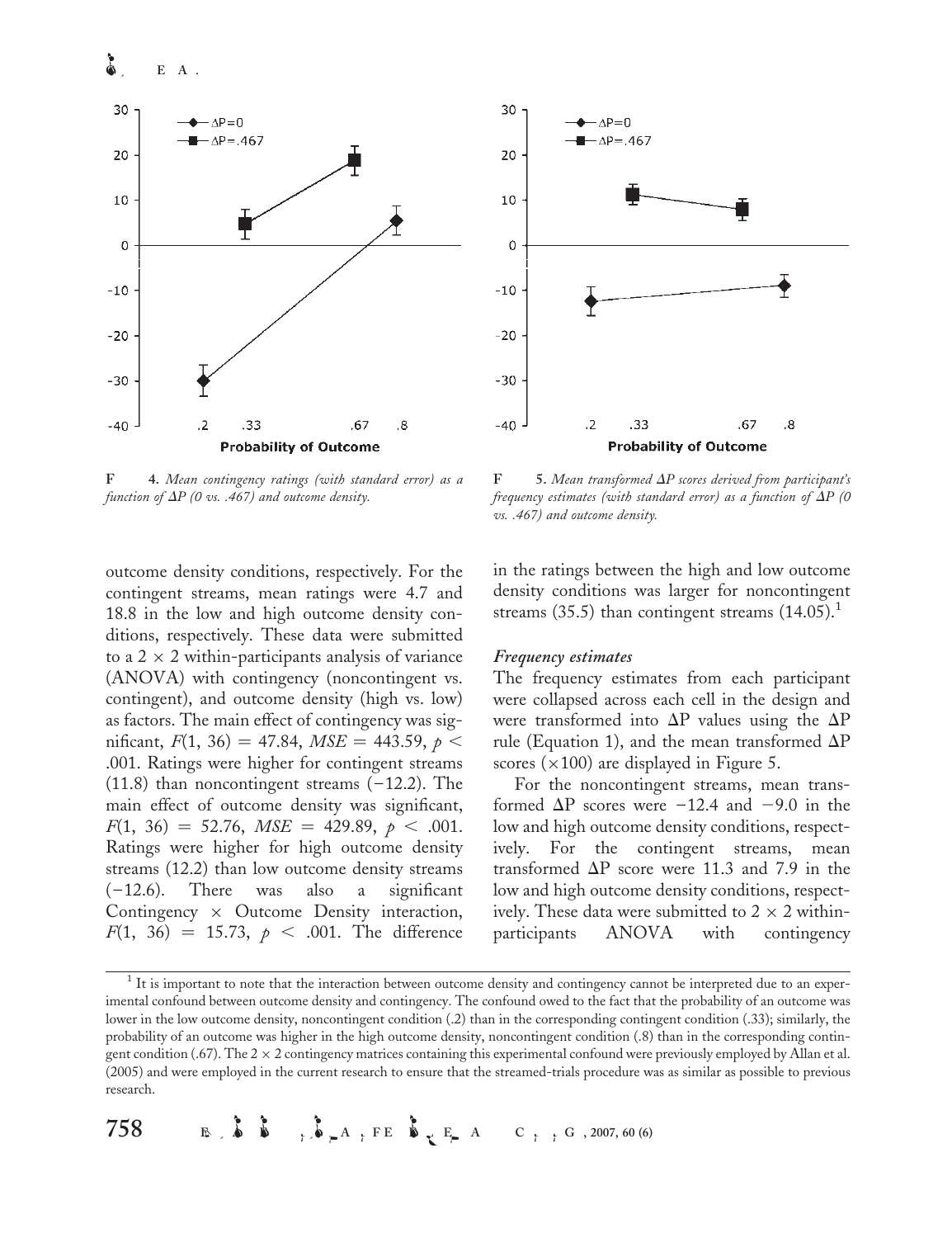

F 4. Mean contingency ratings (with standard error) as a function of  $\Delta P$  (0 vs. .467) and outcome density.

outcome density conditions, respectively. For the contingent streams, mean ratings were 4.7 and 18.8 in the low and high outcome density conditions, respectively. These data were submitted to a  $2 \times 2$  within-participants analysis of variance (ANOVA) with contingency (noncontingent vs. contingent), and outcome density (high vs. low) as factors. The main effect of contingency was significant,  $F(1, 36) = 47.84$ ,  $MSE = 443.59$ ,  $p <$ .001. Ratings were higher for contingent streams (11.8) than noncontingent streams (–12.2). The main effect of outcome density was significant,  $F(1, 36) = 52.76$ ,  $MSE = 429.89$ ,  $p < .001$ . Ratings were higher for high outcome density streams (12.2) than low outcome density streams  $(-12.6)$ . There was also a significant Contingency  $\times$  Outcome Density interaction,  $F(1, 36) = 15.73, p < .001$ . The difference



 $F = 5$ . Mean transformed  $\Delta P$  scores derived from participant's frequency estimates (with standard error) as a function of  $\Delta P$  (0 vs. .467) and outcome density.

in the ratings between the high and low outcome density conditions was larger for noncontingent streams  $(35.5)$  than contingent streams  $(14.05).$ <sup>1</sup>

#### Frequency estimates

The frequency estimates from each participant were collapsed across each cell in the design and were transformed into  $\Delta P$  values using the  $\Delta P$ rule (Equation 1), and the mean transformed  $\Delta P$ scores  $(\times 100)$  are displayed in Figure 5.

For the noncontingent streams, mean transformed  $\Delta P$  scores were -12.4 and -9.0 in the low and high outcome density conditions, respectively. For the contingent streams, mean transformed  $\Delta P$  score were 11.3 and 7.9 in the low and high outcome density conditions, respectively. These data were submitted to  $2 \times 2$  withinparticipants ANOVA with contingency

758 
$$
\mathbf{B} \cdot \mathbf{A} \cdot \mathbf{B}
$$

 $1$  It is important to note that the interaction between outcome density and contingency cannot be interpreted due to an experimental confound between outcome density and contingency. The confound owed to the fact that the probability of an outcome was lower in the low outcome density, noncontingent condition (.2) than in the corresponding contingent condition (.33); similarly, the probability of an outcome was higher in the high outcome density, noncontingent condition (.8) than in the corresponding contingent condition (.67). The  $2 \times 2$  contingency matrices containing this experimental confound were previously employed by Allan et al. (2005) and were employed in the current research to ensure that the streamed-trials procedure was as similar as possible to previous research.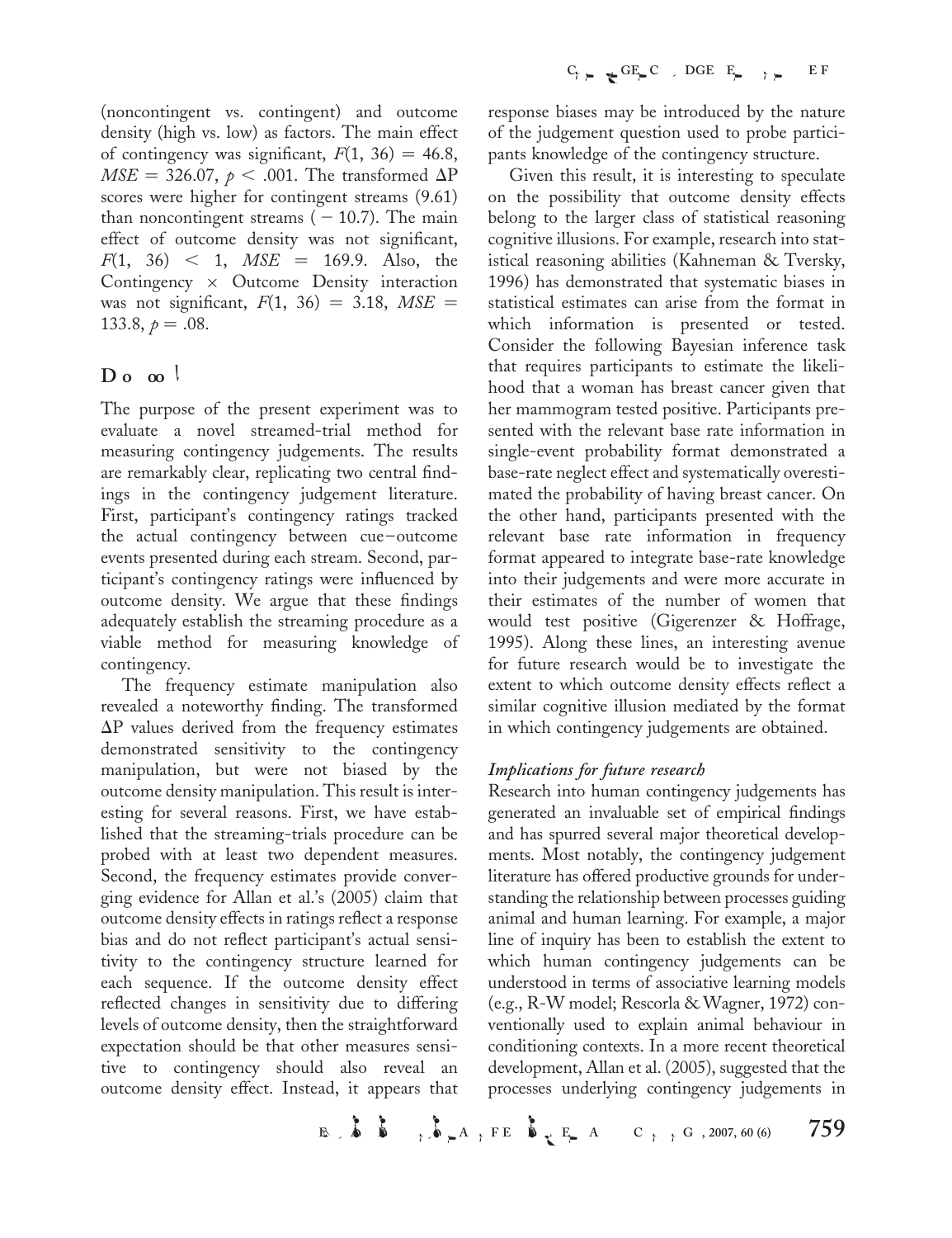(noncontingent vs. contingent) and outcome density (high vs. low) as factors. The main effect of contingency was significant,  $F(1, 36) = 46.8$ ,  $MSE = 326.07$ ,  $p < .001$ . The transformed  $\Delta P$ scores were higher for contingent streams (9.61) than noncontingent streams  $(-10.7)$ . The main effect of outcome density was not significant,  $F(1, 36) < 1, MSE = 169.9.$  Also, the Contingency  $\times$  Outcome Density interaction was not significant,  $F(1, 36) = 3.18$ ,  $MSE =$ 133.8,  $p = .08$ .

# $\mathbf{D}$  o  $\infty$

The purpose of the present experiment was to evaluate a novel streamed-trial method for measuring contingency judgements. The results are remarkably clear, replicating two central findings in the contingency judgement literature. First, participant's contingency ratings tracked the actual contingency between cue-outcome events presented during each stream. Second, participant's contingency ratings were influenced by outcome density. We argue that these findings adequately establish the streaming procedure as a viable method for measuring knowledge of contingency.

The frequency estimate manipulation also revealed a noteworthy finding. The transformed  $\Delta P$  values derived from the frequency estimates demonstrated sensitivity to the contingency manipulation, but were not biased by the outcome density manipulation. This result is interesting for several reasons. First, we have established that the streaming-trials procedure can be probed with at least two dependent measures. Second, the frequency estimates provide converging evidence for Allan et al.'s (2005) claim that outcome density effects in ratings reflect a response bias and do not reflect participant's actual sensitivity to the contingency structure learned for each sequence. If the outcome density effect reflected changes in sensitivity due to differing levels of outcome density, then the straightforward expectation should be that other measures sensitive to contingency should also reveal an outcome density effect. Instead, it appears that

response biases may be introduced by the nature of the judgement question used to probe participants knowledge of the contingency structure.

Given this result, it is interesting to speculate on the possibility that outcome density effects belong to the larger class of statistical reasoning cognitive illusions. For example, research into statistical reasoning abilities (Kahneman & Tversky, 1996) has demonstrated that systematic biases in statistical estimates can arise from the format in which information is presented or tested. Consider the following Bayesian inference task that requires participants to estimate the likelihood that a woman has breast cancer given that her mammogram tested positive. Participants presented with the relevant base rate information in single-event probability format demonstrated a base-rate neglect effect and systematically overestimated the probability of having breast cancer. On the other hand, participants presented with the relevant base rate information in frequency format appeared to integrate base-rate knowledge into their judgements and were more accurate in their estimates of the number of women that would test positive (Gigerenzer & Hoffrage, 1995). Along these lines, an interesting avenue for future research would be to investigate the extent to which outcome density effects reflect a similar cognitive illusion mediated by the format in which contingency judgements are obtained.

#### Implications for future research

Research into human contingency judgements has generated an invaluable set of empirical findings and has spurred several major theoretical developments. Most notably, the contingency judgement literature has offered productive grounds for understanding the relationship between processes guiding animal and human learning. For example, a major line of inquiry has been to establish the extent to which human contingency judgements can be understood in terms of associative learning models (e.g., R-W model; Rescorla & Wagner, 1972) conventionally used to explain animal behaviour in conditioning contexts. In a more recent theoretical development, Allan et al. (2005), suggested that the processes underlying contingency judgements in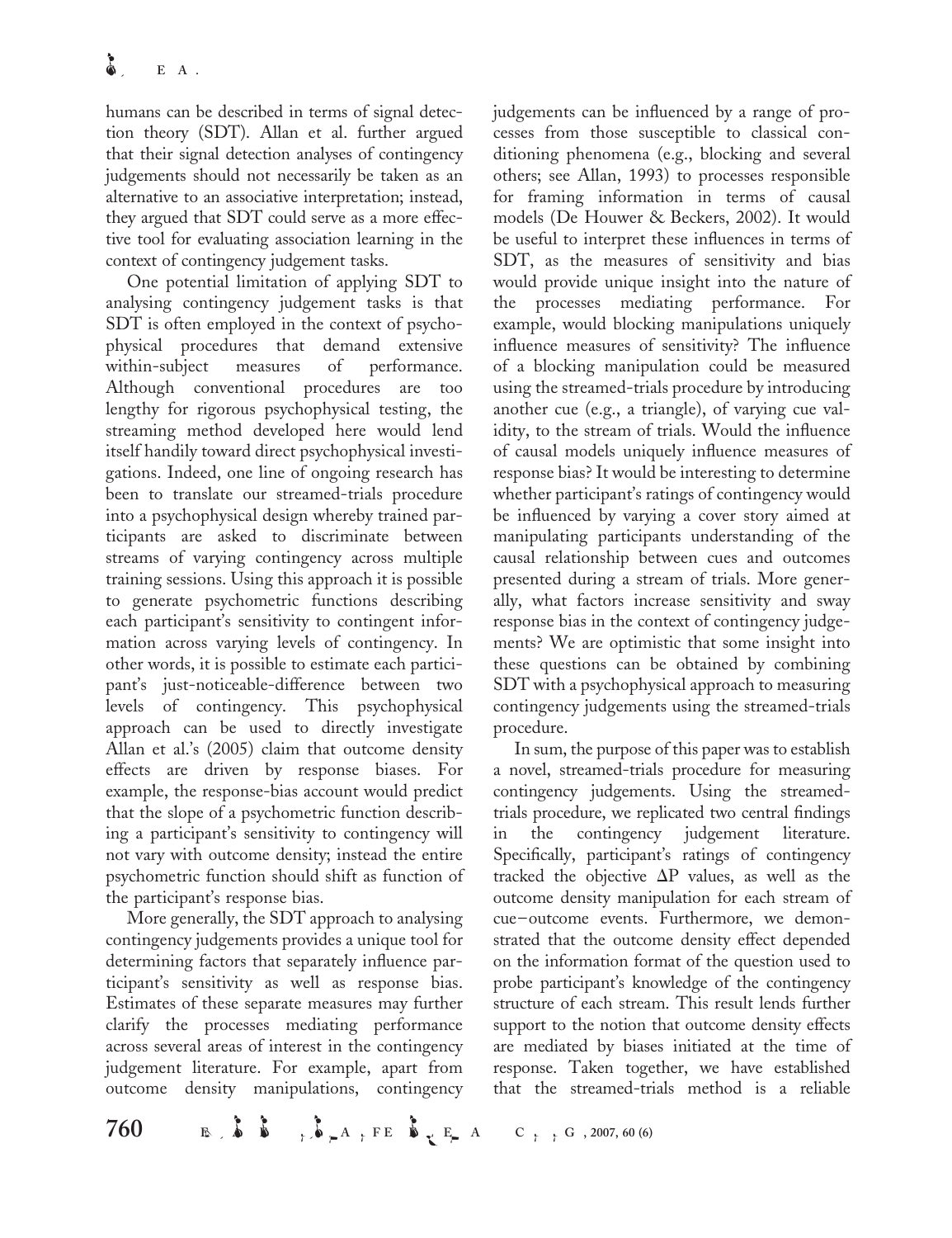humans can be described in terms of signal detection theory (SDT). Allan et al. further argued that their signal detection analyses of contingency judgements should not necessarily be taken as an alternative to an associative interpretation; instead, they argued that SDT could serve as a more effective tool for evaluating association learning in the context of contingency judgement tasks.

One potential limitation of applying SDT to analysing contingency judgement tasks is that SDT is often employed in the context of psychophysical procedures that demand extensive within-subject measures of performance. Although conventional procedures are too lengthy for rigorous psychophysical testing, the streaming method developed here would lend itself handily toward direct psychophysical investigations. Indeed, one line of ongoing research has been to translate our streamed-trials procedure into a psychophysical design whereby trained participants are asked to discriminate between streams of varying contingency across multiple training sessions. Using this approach it is possible to generate psychometric functions describing each participant's sensitivity to contingent information across varying levels of contingency. In other words, it is possible to estimate each participant's just-noticeable-difference between two levels of contingency. This psychophysical approach can be used to directly investigate Allan et al.'s (2005) claim that outcome density effects are driven by response biases. For example, the response-bias account would predict that the slope of a psychometric function describing a participant's sensitivity to contingency will not vary with outcome density; instead the entire psychometric function should shift as function of the participant's response bias.

More generally, the SDT approach to analysing contingency judgements provides a unique tool for determining factors that separately influence participant's sensitivity as well as response bias. Estimates of these separate measures may further clarify the processes mediating performance across several areas of interest in the contingency judgement literature. For example, apart from outcome density manipulations, contingency

judgements can be influenced by a range of processes from those susceptible to classical conditioning phenomena (e.g., blocking and several others; see Allan, 1993) to processes responsible for framing information in terms of causal models (De Houwer & Beckers, 2002). It would be useful to interpret these influences in terms of SDT, as the measures of sensitivity and bias would provide unique insight into the nature of the processes mediating performance. For example, would blocking manipulations uniquely influence measures of sensitivity? The influence of a blocking manipulation could be measured using the streamed-trials procedure by introducing another cue (e.g., a triangle), of varying cue validity, to the stream of trials. Would the influence of causal models uniquely influence measures of response bias? It would be interesting to determine whether participant's ratings of contingency would be influenced by varying a cover story aimed at manipulating participants understanding of the causal relationship between cues and outcomes presented during a stream of trials. More generally, what factors increase sensitivity and sway response bias in the context of contingency judgements? We are optimistic that some insight into these questions can be obtained by combining SDT with a psychophysical approach to measuring contingency judgements using the streamed-trials procedure.

In sum, the purpose of this paper was to establish a novel, streamed-trials procedure for measuring contingency judgements. Using the streamedtrials procedure, we replicated two central findings in the contingency judgement literature. Specifically, participant's ratings of contingency tracked the objective  $\Delta P$  values, as well as the outcome density manipulation for each stream of cue–outcome events. Furthermore, we demonstrated that the outcome density effect depended on the information format of the question used to probe participant's knowledge of the contingency structure of each stream. This result lends further support to the notion that outcome density effects are mediated by biases initiated at the time of response. Taken together, we have established that the streamed-trials method is a reliable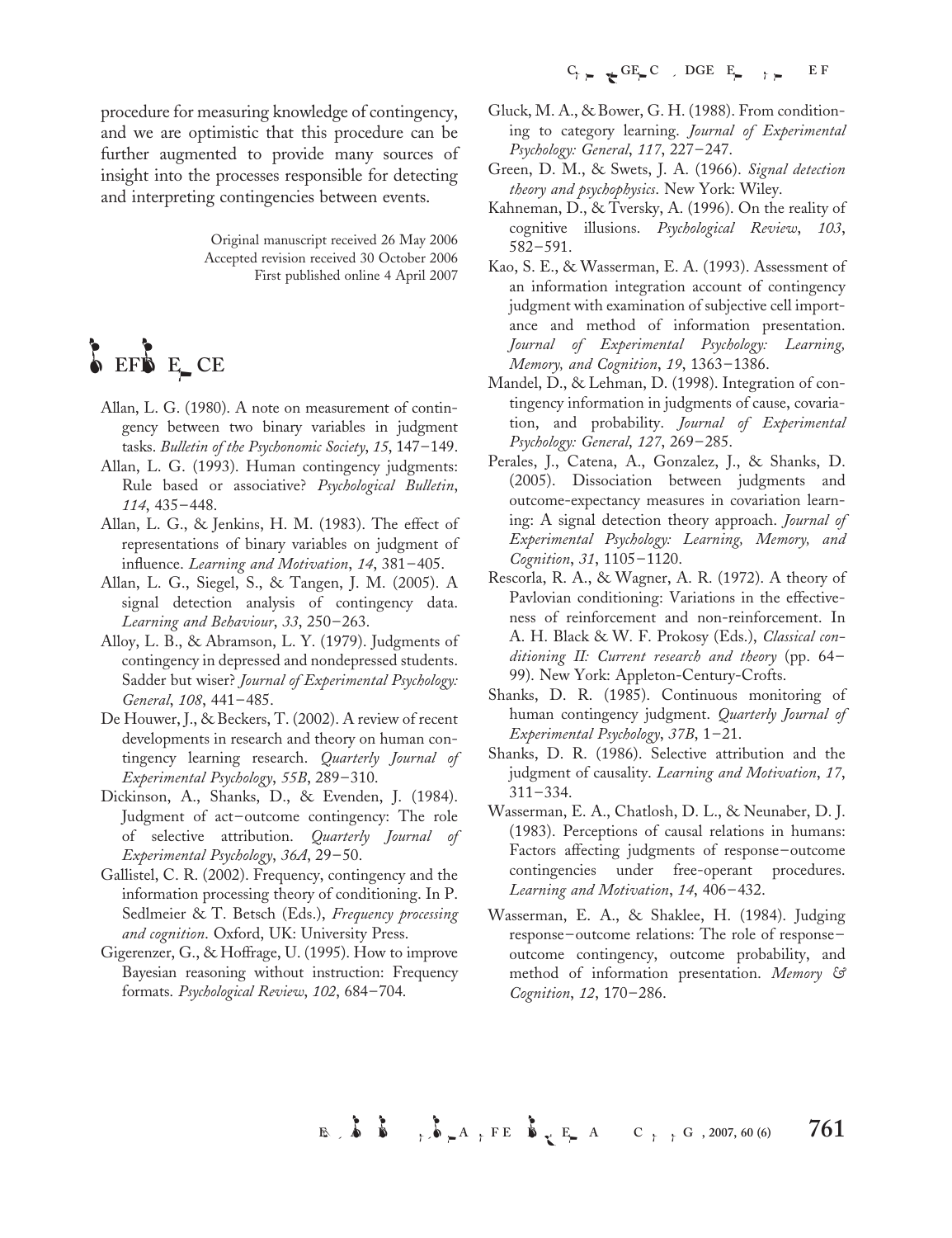procedure for measuring knowledge of contingency, and we are optimistic that this procedure can be further augmented to provide many sources of insight into the processes responsible for detecting and interpreting contingencies between events.

> Original manuscript received 26 May 2006 Accepted revision received 30 October 2006 First published online 4 April 2007



- Allan, L. G. (1980). A note on measurement of contingency between two binary variables in judgment tasks. Bulletin of the Psychonomic Society, 15, 147–149.
- Allan, L. G. (1993). Human contingency judgments: Rule based or associative? Psychological Bulletin, 114, 435– 448.
- Allan, L. G., & Jenkins, H. M. (1983). The effect of representations of binary variables on judgment of influence. Learning and Motivation, 14, 381-405.
- Allan, L. G., Siegel, S., & Tangen, J. M. (2005). A signal detection analysis of contingency data. Learning and Behaviour, 33, 250-263.
- Alloy, L. B., & Abramson, L. Y. (1979). Judgments of contingency in depressed and nondepressed students. Sadder but wiser? Journal of Experimental Psychology: General, 108, 441– 485.
- De Houwer, J., & Beckers, T. (2002). A review of recent developments in research and theory on human contingency learning research. Quarterly Journal of Experimental Psychology, 55B, 289 –310.
- Dickinson, A., Shanks, D., & Evenden, J. (1984). Judgment of act – outcome contingency: The role of selective attribution. Quarterly Journal of Experimental Psychology, 36A, 29-50.
- Gallistel, C. R. (2002). Frequency, contingency and the information processing theory of conditioning. In P. Sedlmeier & T. Betsch (Eds.), Frequency processing and cognition. Oxford, UK: University Press.
- Gigerenzer, G., & Hoffrage, U. (1995). How to improve Bayesian reasoning without instruction: Frequency formats. Psychological Review, 102, 684–704.
- Gluck, M. A., & Bower, G. H. (1988). From conditioning to category learning. Journal of Experimental Psychology: General, 117, 227-247.
- Green, D. M., & Swets, J. A. (1966). Signal detection theory and psychophysics. New York: Wiley.
- Kahneman, D., & Tversky, A. (1996). On the reality of cognitive illusions. Psychological Review, 103, 582– 591.
- Kao, S. E., & Wasserman, E. A. (1993). Assessment of an information integration account of contingency judgment with examination of subjective cell importance and method of information presentation. Journal of Experimental Psychology: Learning, Memory, and Cognition, 19, 1363-1386.
- Mandel, D., & Lehman, D. (1998). Integration of contingency information in judgments of cause, covariation, and probability. Journal of Experimental Psychology: General, 127, 269-285.
- Perales, J., Catena, A., Gonzalez, J., & Shanks, D. (2005). Dissociation between judgments and outcome-expectancy measures in covariation learning: A signal detection theory approach. Journal of Experimental Psychology: Learning, Memory, and Cognition, 31, 1105–1120.
- Rescorla, R. A., & Wagner, A. R. (1972). A theory of Pavlovian conditioning: Variations in the effectiveness of reinforcement and non-reinforcement. In A. H. Black & W. F. Prokosy (Eds.), Classical conditioning II: Current research and theory (pp. 64– 99). New York: Appleton-Century-Crofts.
- Shanks, D. R. (1985). Continuous monitoring of human contingency judgment. Quarterly Journal of Experimental Psychology, 37B, 1-21.
- Shanks, D. R. (1986). Selective attribution and the judgment of causality. Learning and Motivation, 17,  $311 - 334.$
- Wasserman, E. A., Chatlosh, D. L., & Neunaber, D. J. (1983). Perceptions of causal relations in humans: Factors affecting judgments of response – outcome contingencies under free-operant procedures. Learning and Motivation, 14, 406– 432.
- Wasserman, E. A., & Shaklee, H. (1984). Judging response – outcome relations: The role of response – outcome contingency, outcome probability, and method of information presentation. Memory & Cognition, 12, 170–286.